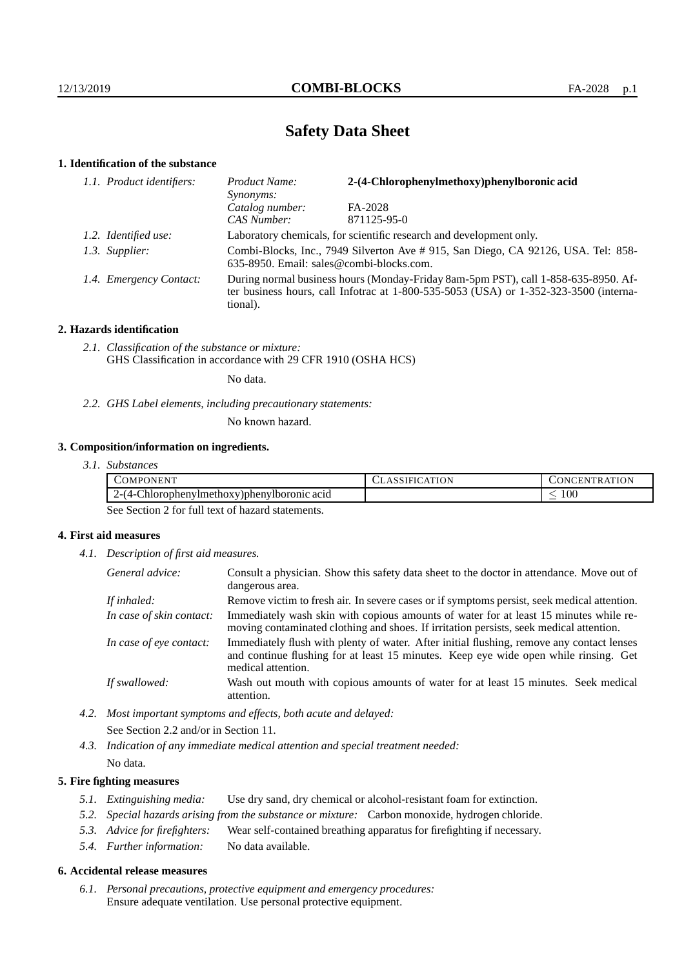# **Safety Data Sheet**

## **1. Identification of the substance**

| 1.1. Product identifiers: | 2-(4-Chlorophenylmethoxy)phenylboronic acid<br>Product Name:<br>Synonyms:                                                                                                                   |             |  |
|---------------------------|---------------------------------------------------------------------------------------------------------------------------------------------------------------------------------------------|-------------|--|
|                           | Catalog number:                                                                                                                                                                             | FA-2028     |  |
|                           | CAS Number:                                                                                                                                                                                 | 871125-95-0 |  |
| 1.2. Identified use:      | Laboratory chemicals, for scientific research and development only.                                                                                                                         |             |  |
| 1.3. Supplier:            | Combi-Blocks, Inc., 7949 Silverton Ave # 915, San Diego, CA 92126, USA. Tel: 858-<br>635-8950. Email: sales@combi-blocks.com.                                                               |             |  |
| 1.4. Emergency Contact:   | During normal business hours (Monday-Friday 8am-5pm PST), call 1-858-635-8950. Af-<br>ter business hours, call Infotrac at $1-800-535-5053$ (USA) or $1-352-323-3500$ (interna-<br>tional). |             |  |

## **2. Hazards identification**

*2.1. Classification of the substance or mixture:* GHS Classification in accordance with 29 CFR 1910 (OSHA HCS)

No data.

*2.2. GHS Label elements, including precautionary statements:*

No known hazard.

## **3. Composition/information on ingredients.**

*3.1. Substances*

| $-1$<br>COMPC<br>ONEN"<br>the contract of the contract of the contract of | 'ON<br>. E.P<br>- ГК<br><b>INI</b> |
|---------------------------------------------------------------------------|------------------------------------|
| $\sim$<br>/-14-1<br>_hlorophenylmethoxy)phenylboromic acid<br>____        | 100                                |

See Section 2 for full text of hazard statements.

## **4. First aid measures**

*4.1. Description of first aid measures.*

| General advice:          | Consult a physician. Show this safety data sheet to the doctor in attendance. Move out of<br>dangerous area.                                                                                            |
|--------------------------|---------------------------------------------------------------------------------------------------------------------------------------------------------------------------------------------------------|
| If inhaled:              | Remove victim to fresh air. In severe cases or if symptoms persist, seek medical attention.                                                                                                             |
| In case of skin contact: | Immediately wash skin with copious amounts of water for at least 15 minutes while re-<br>moving contaminated clothing and shoes. If irritation persists, seek medical attention.                        |
| In case of eye contact:  | Immediately flush with plenty of water. After initial flushing, remove any contact lenses<br>and continue flushing for at least 15 minutes. Keep eye wide open while rinsing. Get<br>medical attention. |
| If swallowed:            | Wash out mouth with copious amounts of water for at least 15 minutes. Seek medical<br>attention.                                                                                                        |

- *4.2. Most important symptoms and effects, both acute and delayed:* See Section 2.2 and/or in Section 11.
- *4.3. Indication of any immediate medical attention and special treatment needed:* No data.

## **5. Fire fighting measures**

- *5.1. Extinguishing media:* Use dry sand, dry chemical or alcohol-resistant foam for extinction.
- *5.2. Special hazards arising from the substance or mixture:* Carbon monoxide, hydrogen chloride.
- *5.3. Advice for firefighters:* Wear self-contained breathing apparatus for firefighting if necessary.
- *5.4. Further information:* No data available.

### **6. Accidental release measures**

*6.1. Personal precautions, protective equipment and emergency procedures:* Ensure adequate ventilation. Use personal protective equipment.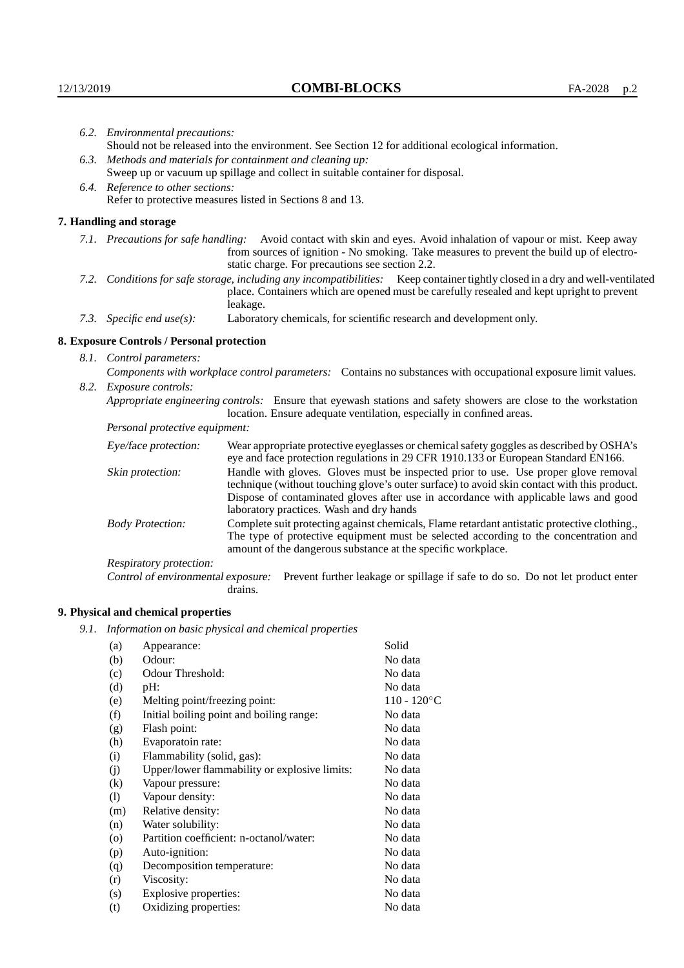| 6.2. Environmental precautions:                           |                                                                                                                                                                                                                                                                       |                                                                                                                                                                                                                                                                                                                        |  |  |
|-----------------------------------------------------------|-----------------------------------------------------------------------------------------------------------------------------------------------------------------------------------------------------------------------------------------------------------------------|------------------------------------------------------------------------------------------------------------------------------------------------------------------------------------------------------------------------------------------------------------------------------------------------------------------------|--|--|
|                                                           |                                                                                                                                                                                                                                                                       | Should not be released into the environment. See Section 12 for additional ecological information.                                                                                                                                                                                                                     |  |  |
|                                                           |                                                                                                                                                                                                                                                                       | 6.3. Methods and materials for containment and cleaning up:                                                                                                                                                                                                                                                            |  |  |
|                                                           | Sweep up or vacuum up spillage and collect in suitable container for disposal.                                                                                                                                                                                        |                                                                                                                                                                                                                                                                                                                        |  |  |
|                                                           | 6.4. Reference to other sections:                                                                                                                                                                                                                                     |                                                                                                                                                                                                                                                                                                                        |  |  |
| Refer to protective measures listed in Sections 8 and 13. |                                                                                                                                                                                                                                                                       |                                                                                                                                                                                                                                                                                                                        |  |  |
|                                                           | 7. Handling and storage                                                                                                                                                                                                                                               |                                                                                                                                                                                                                                                                                                                        |  |  |
|                                                           | Avoid contact with skin and eyes. Avoid inhalation of vapour or mist. Keep away<br>7.1. Precautions for safe handling:<br>from sources of ignition - No smoking. Take measures to prevent the build up of electro-<br>static charge. For precautions see section 2.2. |                                                                                                                                                                                                                                                                                                                        |  |  |
|                                                           |                                                                                                                                                                                                                                                                       | 7.2. Conditions for safe storage, including any incompatibilities: Keep container tightly closed in a dry and well-ventilated<br>place. Containers which are opened must be carefully resealed and kept upright to prevent<br>leakage.                                                                                 |  |  |
|                                                           | 7.3. Specific end use(s):                                                                                                                                                                                                                                             | Laboratory chemicals, for scientific research and development only.                                                                                                                                                                                                                                                    |  |  |
|                                                           | 8. Exposure Controls / Personal protection                                                                                                                                                                                                                            |                                                                                                                                                                                                                                                                                                                        |  |  |
| 8.1. Control parameters:                                  |                                                                                                                                                                                                                                                                       |                                                                                                                                                                                                                                                                                                                        |  |  |
|                                                           | Components with workplace control parameters: Contains no substances with occupational exposure limit values.                                                                                                                                                         |                                                                                                                                                                                                                                                                                                                        |  |  |
|                                                           | 8.2. Exposure controls:                                                                                                                                                                                                                                               |                                                                                                                                                                                                                                                                                                                        |  |  |
|                                                           |                                                                                                                                                                                                                                                                       | Appropriate engineering controls: Ensure that eyewash stations and safety showers are close to the workstation<br>location. Ensure adequate ventilation, especially in confined areas.                                                                                                                                 |  |  |
|                                                           | Personal protective equipment:                                                                                                                                                                                                                                        |                                                                                                                                                                                                                                                                                                                        |  |  |
|                                                           | Eye/face protection:                                                                                                                                                                                                                                                  | Wear appropriate protective eyeglasses or chemical safety goggles as described by OSHA's<br>eye and face protection regulations in 29 CFR 1910.133 or European Standard EN166.                                                                                                                                         |  |  |
|                                                           | Skin protection:                                                                                                                                                                                                                                                      | Handle with gloves. Gloves must be inspected prior to use. Use proper glove removal<br>technique (without touching glove's outer surface) to avoid skin contact with this product.<br>Dispose of contaminated gloves after use in accordance with applicable laws and good<br>laboratory practices. Wash and dry hands |  |  |
|                                                           | <b>Body Protection:</b>                                                                                                                                                                                                                                               | Complete suit protecting against chemicals, Flame retardant antistatic protective clothing.,<br>The type of protective equipment must be selected according to the concentration and<br>amount of the dangerous substance at the specific workplace.                                                                   |  |  |
|                                                           | Respiratory protection:                                                                                                                                                                                                                                               |                                                                                                                                                                                                                                                                                                                        |  |  |

Control of environmental exposure: Prevent further leakage or spillage if safe to do so. Do not let product enter drains.

# **9. Physical and chemical properties**

*9.1. Information on basic physical and chemical properties*

| (a)                | Appearance:                                   | Solid          |
|--------------------|-----------------------------------------------|----------------|
| (b)                | Odour:                                        | No data        |
| (c)                | Odour Threshold:                              | No data        |
| (d)                | pH:                                           | No data        |
| (e)                | Melting point/freezing point:                 | $110 - 120$ °C |
| (f)                | Initial boiling point and boiling range:      | No data        |
| (g)                | Flash point:                                  | No data        |
| (h)                | Evaporatoin rate:                             | No data        |
| (i)                | Flammability (solid, gas):                    | No data        |
| (j)                | Upper/lower flammability or explosive limits: | No data        |
| (k)                | Vapour pressure:                              | No data        |
| (1)                | Vapour density:                               | No data        |
| (m)                | Relative density:                             | No data        |
| (n)                | Water solubility:                             | No data        |
| $\left( 0 \right)$ | Partition coefficient: n-octanol/water:       | No data        |
| (p)                | Auto-ignition:                                | No data        |
| (q)                | Decomposition temperature:                    | No data        |
| (r)                | Viscosity:                                    | No data        |
| (s)                | Explosive properties:                         | No data        |
| (t)                | Oxidizing properties:                         | No data        |